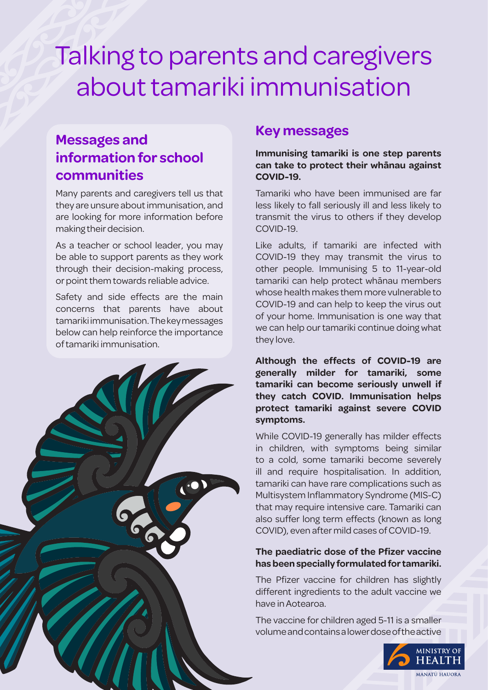# Talking to parents and caregivers about tamariki immunisation

## **Messages and information for school communities**

Many parents and caregivers tell us that they are unsure about immunisation, and are looking for more information before making their decision.

As a teacher or school leader, you may be able to support parents as they work through their decision-making process, or point them towards reliable advice.

Safety and side effects are the main concerns that parents have about tamariki immunisation. The key messages below can help reinforce the importance of tamariki immunisation.



### **Key messages**

**Immunising tamariki is one step parents can take to protect their whānau against COVID-19.**

Tamariki who have been immunised are far less likely to fall seriously ill and less likely to transmit the virus to others if they develop COVID-19.

Like adults, if tamariki are infected with COVID-19 they may transmit the virus to other people. Immunising 5 to 11-year-old tamariki can help protect whānau members whose health makes them more vulnerable to COVID-19 and can help to keep the virus out of your home. Immunisation is one way that we can help our tamariki continue doing what they love.

**Although the effects of COVID-19 are generally milder for tamariki, some tamariki can become seriously unwell if they catch COVID. Immunisation helps protect tamariki against severe COVID symptoms.**

While COVID-19 generally has milder effects in children, with symptoms being similar to a cold, some tamariki become severely ill and require hospitalisation. In addition, tamariki can have rare complications such as Multisystem Inflammatory Syndrome (MIS-C) that may require intensive care. Tamariki can also suffer long term effects (known as long COVID), even after mild cases of COVID-19.

#### **The paediatric dose of the Pfizer vaccine has been specially formulated for tamariki.**

The Pfizer vaccine for children has slightly different ingredients to the adult vaccine we have in Aotearoa.

The vaccine for children aged 5-11 is a smaller volume and contains a lower dose of the active